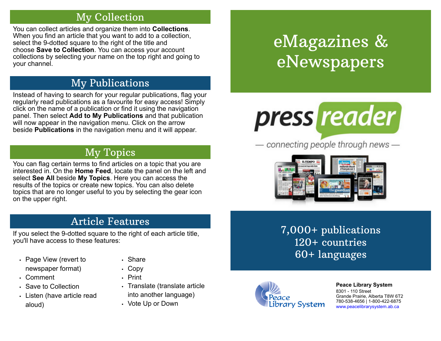## My Collection

You can collect articles and organize them into **Collections**. When you find an article that you want to add to a collection, select the 9-dotted square to the right of the title and choose **Save to Collection**. You can access your account collections by selecting your name on the top right and going to your channel.

# My Publications

Instead of having to search for your regular publications, flag your regularly read publications as a favourite for easy access! Simply click on the name of a publication or find it using the navigation panel. Then select **Add to My Publications** and that publication will now appear in the navigation menu. Click on the arrow beside **Publications** in the navigation menu and it will appear.

## My Topics

You can flag certain terms to find articles on a topic that you are interested in. On the **Home Feed**, locate the panel on the left and select **See All** beside **My Topics**. Here you can access the results of the topics or create new topics. You can also delete topics that are no longer useful to you by selecting the gear icon on the upper right.

## Article Features

If you select the 9-dotted square to the right of each article title, you'll have access to these features:

- Page View (revert to newspaper format)
- Comment
- Save to Collection
- Listen (have article read aloud)
- Share
- Copy
- Print
- Translate (translate article into another language)
- Vote Up or Down

# eMagazines & eNewspapers



 $-$  connecting people through news  $-$ 



7,000+ publications 120+ countries 60+ languages



**[P](http://4la.co/1KCGNM)eace Library System** [8](http://4la.co/1KCGNM)301 - 110 Street Grande Prairie, Alberta T8W 6T2 780-538-4656 | 1-800-422-6875 [www.peacelibrarysystem.ab.ca](http://4la.co/1KCGNM)